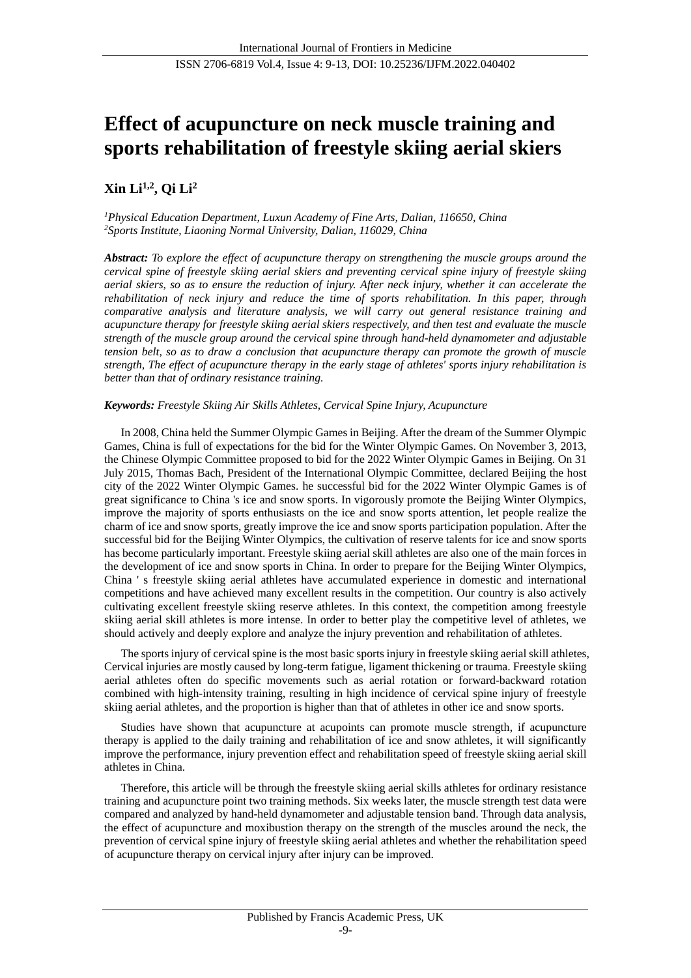# **Effect of acupuncture on neck muscle training and sports rehabilitation of freestyle skiing aerial skiers**

# **Xin Li1,2, Qi Li<sup>2</sup>**

*<sup>1</sup>Physical Education Department, Luxun Academy of Fine Arts, Dalian, 116650, China <sup>2</sup>Sports Institute, Liaoning Normal University, Dalian, 116029, China*

*Abstract: To explore the effect of acupuncture therapy on strengthening the muscle groups around the cervical spine of freestyle skiing aerial skiers and preventing cervical spine injury of freestyle skiing aerial skiers, so as to ensure the reduction of injury. After neck injury, whether it can accelerate the rehabilitation of neck injury and reduce the time of sports rehabilitation. In this paper, through comparative analysis and literature analysis, we will carry out general resistance training and acupuncture therapy for freestyle skiing aerial skiers respectively, and then test and evaluate the muscle strength of the muscle group around the cervical spine through hand-held dynamometer and adjustable tension belt, so as to draw a conclusion that acupuncture therapy can promote the growth of muscle strength, The effect of acupuncture therapy in the early stage of athletes' sports injury rehabilitation is better than that of ordinary resistance training.*

## *Keywords: Freestyle Skiing Air Skills Athletes, Cervical Spine Injury, Acupuncture*

In 2008, China held the Summer Olympic Games in Beijing. After the dream of the Summer Olympic Games, China is full of expectations for the bid for the Winter Olympic Games. On November 3, 2013, the Chinese Olympic Committee proposed to bid for the 2022 Winter Olympic Games in Beijing. On 31 July 2015, Thomas Bach, President of the International Olympic Committee, declared Beijing the host city of the 2022 Winter Olympic Games. he successful bid for the 2022 Winter Olympic Games is of great significance to China 's ice and snow sports. In vigorously promote the Beijing Winter Olympics, improve the majority of sports enthusiasts on the ice and snow sports attention, let people realize the charm of ice and snow sports, greatly improve the ice and snow sports participation population. After the successful bid for the Beijing Winter Olympics, the cultivation of reserve talents for ice and snow sports has become particularly important. Freestyle skiing aerial skill athletes are also one of the main forces in the development of ice and snow sports in China. In order to prepare for the Beijing Winter Olympics, China ' s freestyle skiing aerial athletes have accumulated experience in domestic and international competitions and have achieved many excellent results in the competition. Our country is also actively cultivating excellent freestyle skiing reserve athletes. In this context, the competition among freestyle skiing aerial skill athletes is more intense. In order to better play the competitive level of athletes, we should actively and deeply explore and analyze the injury prevention and rehabilitation of athletes.

The sports injury of cervical spine is the most basic sports injury in freestyle skiing aerial skill athletes, Cervical injuries are mostly caused by long-term fatigue, ligament thickening or trauma. Freestyle skiing aerial athletes often do specific movements such as aerial rotation or forward-backward rotation combined with high-intensity training, resulting in high incidence of cervical spine injury of freestyle skiing aerial athletes, and the proportion is higher than that of athletes in other ice and snow sports.

Studies have shown that acupuncture at acupoints can promote muscle strength, if acupuncture therapy is applied to the daily training and rehabilitation of ice and snow athletes, it will significantly improve the performance, injury prevention effect and rehabilitation speed of freestyle skiing aerial skill athletes in China.

Therefore, this article will be through the freestyle skiing aerial skills athletes for ordinary resistance training and acupuncture point two training methods. Six weeks later, the muscle strength test data were compared and analyzed by hand-held dynamometer and adjustable tension band. Through data analysis, the effect of acupuncture and moxibustion therapy on the strength of the muscles around the neck, the prevention of cervical spine injury of freestyle skiing aerial athletes and whether the rehabilitation speed of acupuncture therapy on cervical injury after injury can be improved.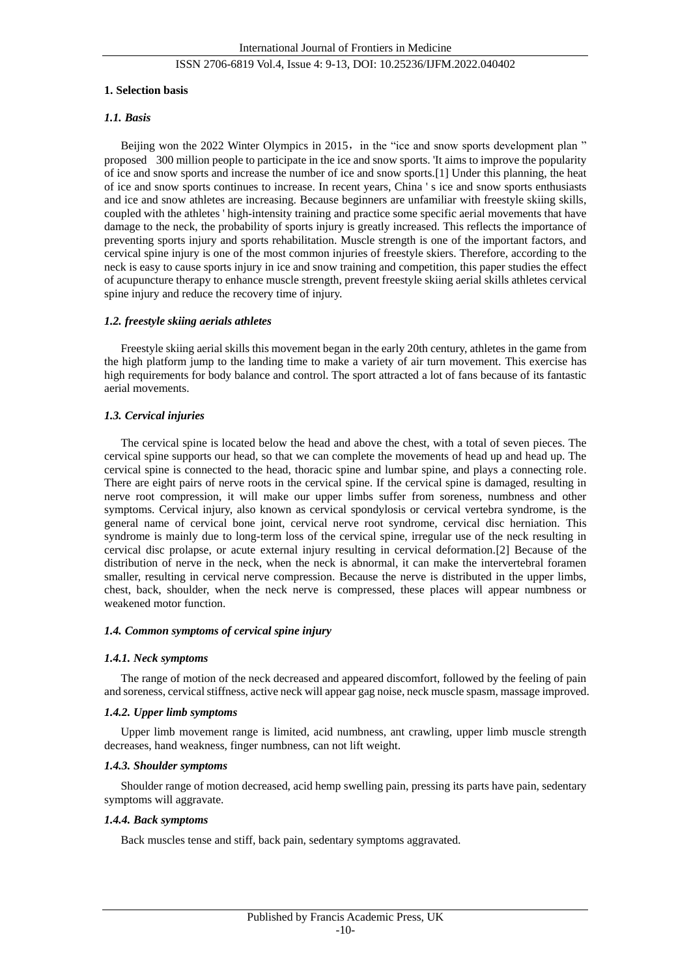#### **1. Selection basis**

#### *1.1. Basis*

Beijing won the 2022 Winter Olympics in 2015, in the "ice and snow sports development plan " proposed 300 million people to participate in the ice and snow sports. 'It aims to improve the popularity of ice and snow sports and increase the number of ice and snow sports.[1] Under this planning, the heat of ice and snow sports continues to increase. In recent years, China ' s ice and snow sports enthusiasts and ice and snow athletes are increasing. Because beginners are unfamiliar with freestyle skiing skills, coupled with the athletes ' high-intensity training and practice some specific aerial movements that have damage to the neck, the probability of sports injury is greatly increased. This reflects the importance of preventing sports injury and sports rehabilitation. Muscle strength is one of the important factors, and cervical spine injury is one of the most common injuries of freestyle skiers. Therefore, according to the neck is easy to cause sports injury in ice and snow training and competition, this paper studies the effect of acupuncture therapy to enhance muscle strength, prevent freestyle skiing aerial skills athletes cervical spine injury and reduce the recovery time of injury.

#### *1.2. freestyle skiing aerials athletes*

Freestyle skiing aerial skills this movement began in the early 20th century, athletes in the game from the high platform jump to the landing time to make a variety of air turn movement. This exercise has high requirements for body balance and control. The sport attracted a lot of fans because of its fantastic aerial movements.

#### *1.3. Cervical injuries*

The cervical spine is located below the head and above the chest, with a total of seven pieces. The cervical spine supports our head, so that we can complete the movements of head up and head up. The cervical spine is connected to the head, thoracic spine and lumbar spine, and plays a connecting role. There are eight pairs of nerve roots in the cervical spine. If the cervical spine is damaged, resulting in nerve root compression, it will make our upper limbs suffer from soreness, numbness and other symptoms. Cervical injury, also known as cervical spondylosis or cervical vertebra syndrome, is the general name of cervical bone joint, cervical nerve root syndrome, cervical disc herniation. This syndrome is mainly due to long-term loss of the cervical spine, irregular use of the neck resulting in cervical disc prolapse, or acute external injury resulting in cervical deformation.[2] Because of the distribution of nerve in the neck, when the neck is abnormal, it can make the intervertebral foramen smaller, resulting in cervical nerve compression. Because the nerve is distributed in the upper limbs, chest, back, shoulder, when the neck nerve is compressed, these places will appear numbness or weakened motor function.

#### *1.4. Common symptoms of cervical spine injury*

#### *1.4.1. Neck symptoms*

The range of motion of the neck decreased and appeared discomfort, followed by the feeling of pain and soreness, cervical stiffness, active neck will appear gag noise, neck muscle spasm, massage improved.

#### *1.4.2. Upper limb symptoms*

Upper limb movement range is limited, acid numbness, ant crawling, upper limb muscle strength decreases, hand weakness, finger numbness, can not lift weight.

#### *1.4.3. Shoulder symptoms*

Shoulder range of motion decreased, acid hemp swelling pain, pressing its parts have pain, sedentary symptoms will aggravate.

#### *1.4.4. Back symptoms*

Back muscles tense and stiff, back pain, sedentary symptoms aggravated.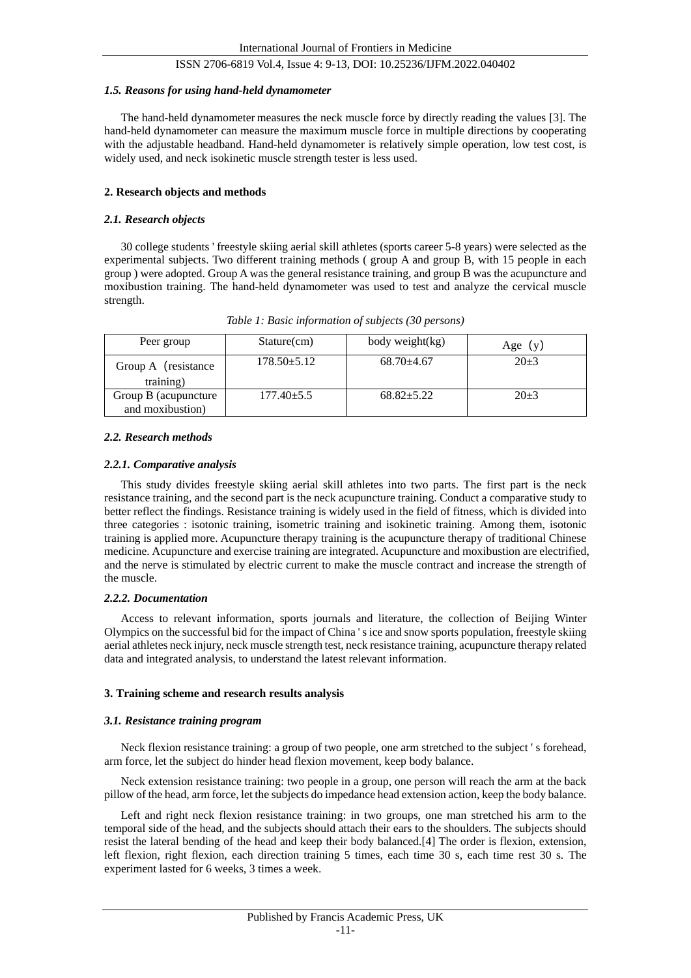#### *1.5. Reasons for using hand-held dynamometer*

The hand-held dynamometer measures the neck muscle force by directly reading the values [3]. The hand-held dynamometer can measure the maximum muscle force in multiple directions by cooperating with the adjustable headband. Hand-held dynamometer is relatively simple operation, low test cost, is widely used, and neck isokinetic muscle strength tester is less used.

#### **2. Research objects and methods**

#### *2.1. Research objects*

30 college students ' freestyle skiing aerial skill athletes (sports career 5-8 years) were selected as the experimental subjects. Two different training methods ( group A and group B, with 15 people in each group ) were adopted. Group A was the general resistance training, and group B was the acupuncture and moxibustion training. The hand-held dynamometer was used to test and analyze the cervical muscle strength.

| Peer group                               | Stature(cm)     | body weight(kg) | Age $(y)$ |
|------------------------------------------|-----------------|-----------------|-----------|
| Group A (resistance<br>training)         | $178.50 + 5.12$ | $68.70\pm4.67$  | $20 + 3$  |
| Group B (acupuncture<br>and moxibustion) | 177.40±5.5      | $68.82 + 5.22$  | $20 + 3$  |

*Table 1: Basic information of subjects (30 persons)*

#### *2.2. Research methods*

#### *2.2.1. Comparative analysis*

This study divides freestyle skiing aerial skill athletes into two parts. The first part is the neck resistance training, and the second part is the neck acupuncture training. Conduct a comparative study to better reflect the findings. Resistance training is widely used in the field of fitness, which is divided into three categories : isotonic training, isometric training and isokinetic training. Among them, isotonic training is applied more. Acupuncture therapy training is the acupuncture therapy of traditional Chinese medicine. Acupuncture and exercise training are integrated. Acupuncture and moxibustion are electrified, and the nerve is stimulated by electric current to make the muscle contract and increase the strength of the muscle.

#### *2.2.2. Documentation*

Access to relevant information, sports journals and literature, the collection of Beijing Winter Olympics on the successful bid for the impact of China ' s ice and snow sports population, freestyle skiing aerial athletes neck injury, neck muscle strength test, neck resistance training, acupuncture therapy related data and integrated analysis, to understand the latest relevant information.

#### **3. Training scheme and research results analysis**

#### *3.1. Resistance training program*

Neck flexion resistance training: a group of two people, one arm stretched to the subject ' s forehead, arm force, let the subject do hinder head flexion movement, keep body balance.

Neck extension resistance training: two people in a group, one person will reach the arm at the back pillow of the head, arm force, let the subjects do impedance head extension action, keep the body balance.

Left and right neck flexion resistance training: in two groups, one man stretched his arm to the temporal side of the head, and the subjects should attach their ears to the shoulders. The subjects should resist the lateral bending of the head and keep their body balanced.[4] The order is flexion, extension, left flexion, right flexion, each direction training 5 times, each time 30 s, each time rest 30 s. The experiment lasted for 6 weeks, 3 times a week.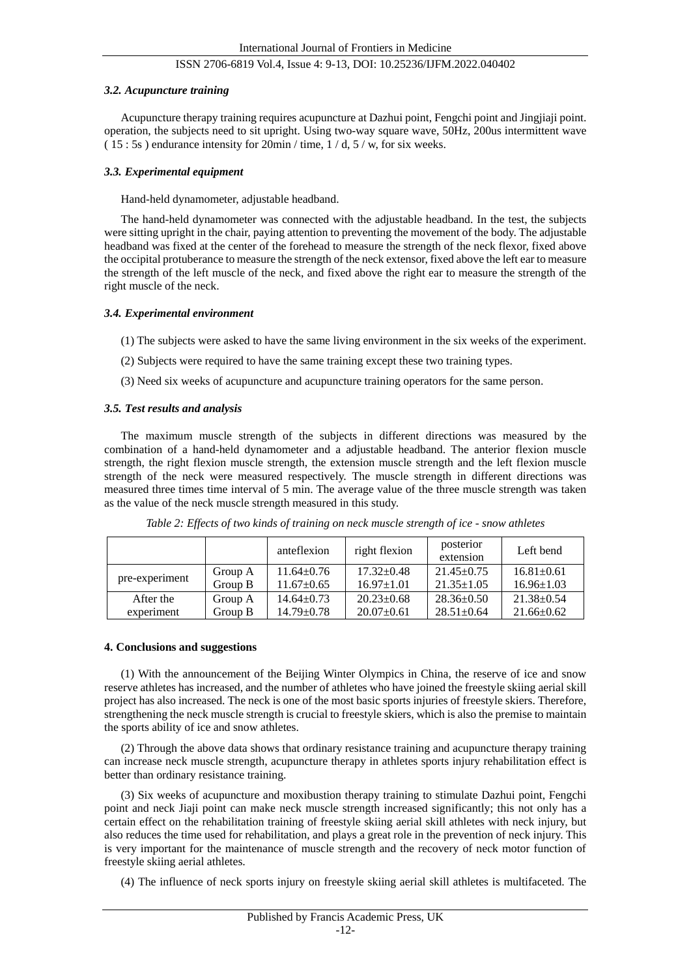#### *3.2. Acupuncture training*

Acupuncture therapy training requires acupuncture at Dazhui point, Fengchi point and Jingjiaji point. operation, the subjects need to sit upright. Using two-way square wave, 50Hz, 200us intermittent wave ( 15 : 5s ) endurance intensity for 20min / time, 1 / d, 5 / w, for six weeks.

#### *3.3. Experimental equipment*

Hand-held dynamometer, adjustable headband.

The hand-held dynamometer was connected with the adjustable headband. In the test, the subjects were sitting upright in the chair, paying attention to preventing the movement of the body. The adjustable headband was fixed at the center of the forehead to measure the strength of the neck flexor, fixed above the occipital protuberance to measure the strength of the neck extensor, fixed above the left ear to measure the strength of the left muscle of the neck, and fixed above the right ear to measure the strength of the right muscle of the neck.

#### *3.4. Experimental environment*

- (1) The subjects were asked to have the same living environment in the six weeks of the experiment.
- (2) Subjects were required to have the same training except these two training types.
- (3) Need six weeks of acupuncture and acupuncture training operators for the same person.

#### *3.5. Test results and analysis*

The maximum muscle strength of the subjects in different directions was measured by the combination of a hand-held dynamometer and a adjustable headband. The anterior flexion muscle strength, the right flexion muscle strength, the extension muscle strength and the left flexion muscle strength of the neck were measured respectively. The muscle strength in different directions was measured three times time interval of 5 min. The average value of the three muscle strength was taken as the value of the neck muscle strength measured in this study.

|                |         | anteflexion      | right flexion    | posterior<br>extension | Left bend        |
|----------------|---------|------------------|------------------|------------------------|------------------|
| pre-experiment | Group A | $11.64 + 0.76$   | $17.32 + 0.48$   | $21.45 \pm 0.75$       | $16.81 + 0.61$   |
|                | Group B | $11.67 \pm 0.65$ | $16.97 \pm 1.01$ | $21.35 \pm 1.05$       | $16.96 \pm 1.03$ |
| After the      | Group A | $14.64 + 0.73$   | $20.23 \pm 0.68$ | $28.36 + 0.50$         | $21.38 + 0.54$   |
| experiment     | Group B | $14.79 \pm 0.78$ | $20.07 \pm 0.61$ | $28.51 + 0.64$         | $21.66 \pm 0.62$ |

*Table 2: Effects of two kinds of training on neck muscle strength of ice - snow athletes*

#### **4. Conclusions and suggestions**

(1) With the announcement of the Beijing Winter Olympics in China, the reserve of ice and snow reserve athletes has increased, and the number of athletes who have joined the freestyle skiing aerial skill project has also increased. The neck is one of the most basic sports injuries of freestyle skiers. Therefore, strengthening the neck muscle strength is crucial to freestyle skiers, which is also the premise to maintain the sports ability of ice and snow athletes.

(2) Through the above data shows that ordinary resistance training and acupuncture therapy training can increase neck muscle strength, acupuncture therapy in athletes sports injury rehabilitation effect is better than ordinary resistance training.

(3) Six weeks of acupuncture and moxibustion therapy training to stimulate Dazhui point, Fengchi point and neck Jiaji point can make neck muscle strength increased significantly; this not only has a certain effect on the rehabilitation training of freestyle skiing aerial skill athletes with neck injury, but also reduces the time used for rehabilitation, and plays a great role in the prevention of neck injury. This is very important for the maintenance of muscle strength and the recovery of neck motor function of freestyle skiing aerial athletes.

(4) The influence of neck sports injury on freestyle skiing aerial skill athletes is multifaceted. The